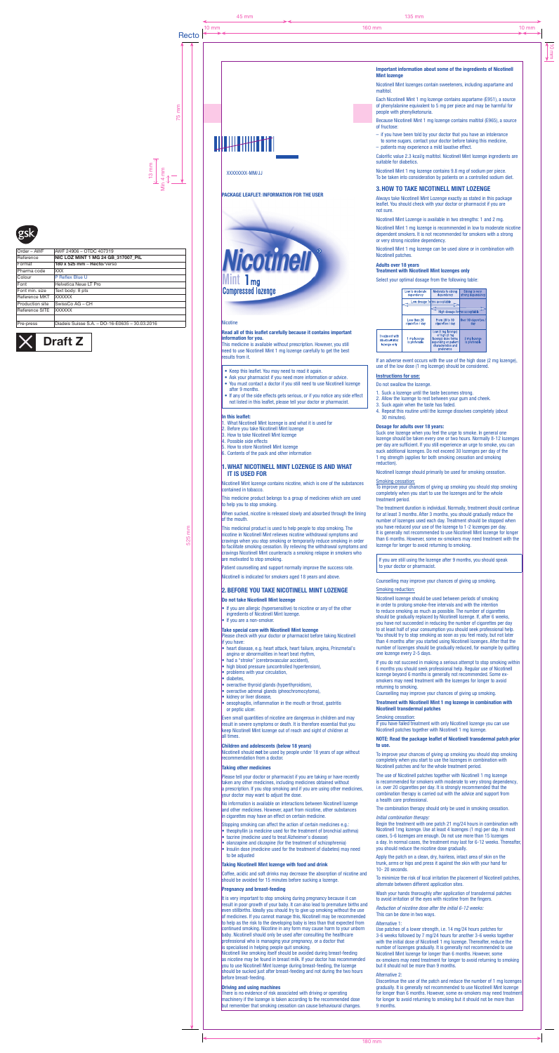# XXXXXXXX-MM/JJ

# PACKAGE LEAFLET: INFORMATION FOR THE USER

Nicotinell **Mint 1 mg<br>Compressed lozenge** 

#### **Nicotine**

This medicine is available without prescription. However, you still need to use Nicotinell Mint 1 mg lozenge carefully to get the best results from it.

#### Read all of this leaflet carefully because it contains important information for you.

- Keep this leaflet. You may need to read it again.
- Ask your pharmacist if you need more information or advice.
- You must contact a doctor if you still need to use Nicotinell lozenge after 9 months.
- If any of the side effects gets serious, or if you notice any side effect not listed in this leaflet, please tell your doctor or pharmacist.

#### In this leaflet:

- 1. What Nicotinell Mint lozenge is and what it is used for
- 2. Before you take Nicotinell Mint lozenge
- 3. How to take Nicotinell Mint lozenge
- 4. Possible side effects 5. How to store Nicotinell Mint lozenge
- 6. Contents of the pack and other information

• If you are allergic (hypersensitive) to nicotine or any of the other ingredients of Nicotinell Mint lozenge. If you are a non-smoker.

## 1.WHAT NICOTINELL MINT LOZENGE IS AND WHAT IT IS USED FOR

Nicotinell Mint lozenge contains nicotine, which is one of the substances contained in tobacco.

This medicine product belongs to a group of medicines which are used to help you to stop smoking.

When sucked, nicotine is released slowly and absorbed through the lining of the mouth.

This medicinal product is used to help people to stop smoking. The nicotine in Nicotinell Mint relieves nicotine withdrawal symptoms and cravings when you stop smoking or temporarily reduce smoking in order to facilitate smoking cessation. By relieving the withdrawal symptoms and cravings Nicotinell Mint counteracts a smoking relapse in smokers who are motivated to stop smoking.

Patient counselling and support normally improve the success rate.

Nicotinell should not be used by people under 18 years of age without recommendation from a doctor.

Please tell your doctor or pharmacist if you are taking or have recently taken any other medicines, including medicines obtained without a prescription. If you stop smoking and if you are using other medicines, your doctor may want to adjust the dose.

Nicotinell is indicated for smokers aged 18 years and above.

# 2.BEFORE YOU TAKE NICOTINELL MINT LOZENGE

# Do not take Nicotinell Mint lozenge

Coffee, acidic and soft drinks may decrease the absorption of nicotine and should be avoided for 15 minutes before sucking a lozenge.

#### Take special care with Nicotinell Mint lozenge Please check with your doctor or pharmacist before taking Nicotinell

if you have: • heart disease, e.g. heart attack, heart failure, angina, Prinzmetal's

angina or abnormalities in heart beat rhythm

It is very important to stop smoking during pregnancy because it can result in poor growth of your baby. It can also lead to premature births and even stillbirths. Ideally you should try to give up smoking without the use of medicines. If you cannot manage this, Nicotinell may be recommended to help as the risk to the developing baby is less than that expected from continued smoking. Nicotine in any form may cause harm to your unborn baby. Nicotinell should only be used after consulting the healthcare professional who is managing your pregnancy, or a doctor that is specialised in helping people quit smoking.

- had a "stroke" (cerebrovascular accident),
- high blood pressure (uncontrolled hypertension),
- problems with your circulation,
- problems<br>• diabetes,
- overactive thyroid glands (hyperthyroidism),
- overactive adrenal glands (pheochromocytoma),
- kidney or liver disease,
- oesophagitis, inflammation in the mouth or throat, gastritis or peptic ulcer.

Even small quantities of nicotine are dangerous in children and may result in severe symptoms or death. It is therefore essential that you keep Nicotinell Mint lozenge out of reach and sight of children at all times.

#### Children and adolescents (below 18 years)

if you have been told by your doctor that you have an intolerance to some sugars, contact your doctor before taking this medicine, – patients may experience a mild laxative effect.

Calorific value 2.3 kcal/g maltitol. Nicotinell Mint lozenge ingredients are suitable for diabetics.

#### Taking other medicines

No information is available on interactions between Nicotinell lozenge and other medicines. However, apart from nicotine, other substances in cigarettes may have an effect on certain medicine.

Stopping smoking can affect the action of certain medicines e.g.:

- theophyllin (a medicine used for the treatment of bronchial asthma)
- tacrine (medicine used to treat Alzheimer's disease)
- olanzapine and clozapine (for the treatment of schizophrenia)
- Insulin dose (medicine used for the treatment of diabetes) may need to be adjusted

#### Taking Nicotinell Mint lozenge with food and drink

### Pregnancy and breast-feeding

Nicotinell like smoking itself should be avoided during breast-feeding as nicotine may be found in breast milk. If your doctor has recommended you to use Nicotinell Mint lozenge during breast-feeding, the lozenge should be sucked just after breast-feeding and not during the two hours before breast-feeding.

#### Driving and using machines

There is no evidence of risk associated with driving or operating machinery if the lozenge is taken according to the recommended dose but remember that smoking cessation can cause behavioural changes.

Important information about some of the ingredients of Nicotinell Mint lozenge

Nicotinell Mint lozenges contain sweeteners, including aspartame and maltitol.

Each Nicotinell Mint 1 mg lozenge contains aspartame (E951), a source of phenylalanine equivalent to 5 mg per piece and may be harmful for people with phenylketonuria.

Because Nicotinell Mint 1 mg lozenge contains maltitol (E965), a source of fructose:

Nicotinell Mint 1 mg lozenge contains 9.8 mg of sodium per piece. To be taken into consideration by patients on a controlled sodium diet.

# 3.HOW TO TAKE NICOTINELL MINT LOZENGE

Always take Nicotinell Mint Lozenge exactly as stated in this package leaflet. You should check with your doctor or pharmacist if you are not sure.

Nicotinell Mint Lozenge is available in two strengths: 1 and 2 mg.

Nicotinell Mint 1 mg lozenge is recommended in low to moderate nicotine dependent smokers. It is not recommended for smokers with a strong or very strong nicotine dependency.

Nicotinell Mint 1 mg lozenge can be used alone or in combination with Nicotinell patches.

#### Adults over 18 years Treatment with Nicotinell Mint lozenges only

Select your optimal dosage from the following table:

|                                                                 | Low to moderate<br>dependency    | Moderate to strong<br>dependency                                                                                        | <b>Strong to very</b><br>strong dependency |
|-----------------------------------------------------------------|----------------------------------|-------------------------------------------------------------------------------------------------------------------------|--------------------------------------------|
|                                                                 | Low dosage forms acceptable      |                                                                                                                         |                                            |
|                                                                 |                                  | High dosage forms acceptable                                                                                            |                                            |
|                                                                 | Less than 20<br>cigarettes / day | From 20 to 30<br>cigarettes / day                                                                                       | Over 30 cigarettes /<br>day                |
| <b>Treatment with</b><br><b>Nicotinell Mint</b><br>lozenge only | 1 mg lozenge<br>is preferable    | Low (1 mg lozenge)<br>or high (2 mg<br>lozenge) dose forms<br>depending on patient<br>characteristics and<br>preference | 2 mg lozenge<br>is preferable              |

If an adverse event occurs with the use of the high dose (2 mg lozenge), use of the low dose (1 mg lozenge) should be considered.

# Instructions for use:

Do not swallow the lozenge.

- 1. Suck a lozenge until the taste becomes strong.
- 2. Allow the lozenge to rest between your gum and cheek.
- 3. Suck again when the taste has faded.
- 4. Repeat this routine until the lozenge dissolves completely (about 30 minutes).

### Dosage for adults over 18 years:

Suck one lozenge when you feel the urge to smoke. In general one lozenge should be taken every one or two hours. Normally 8-12 lozenges per day are sufficient. If you still experience an urge to smoke, you can suck additional lozenges. Do not exceed 30 lozenges per day of the 1 mg strength (applies for both smoking cessation and smoking reduction).

Nicotinell lozenge should primarily be used for smoking cessation.

# Smoking cessation:

To improve your chances of giving up smoking you should stop smoking completely when you start to use the lozenges and for the whole treatment period.

The treatment duration is individual. Normally, treatment should continue for at least 3 months. After 3 months, you should gradually reduce the number of lozenges used each day. Treatment should be stopped when you have reduced your use of the lozenge to 1-2 lozenges per day. It is generally not recommended to use Nicotinell Mint lozenge for longer than 6 months. However, some ex-smokers may need treatment with the lozenge for longer to avoid returning to smoking.

If you are still using the lozenge after 9 months, you should speak to your doctor or pharmacist.

Counselling may improve your chances of giving up smoking.

# Smoking reduction:

Nicotinell lozenge should be used between periods of smoking in order to prolong smoke-free intervals and with the intention to reduce smoking as much as possible. The number of cigarettes should be gradually replaced by Nicotinell lozenge. If, after 6 weeks, you have not succeeded in reducing the number of cigarettes per day to at least half of your consumption you should seek professional help. You should try to stop smoking as soon as you feel ready, but not later than 4 months after you started using Nicotinell lozenges. After that the number of lozenges should be gradually reduced, for example by quitting one lozenge every 2-5 days.

# 

If you do not succeed in making a serious attempt to stop smoking within 6 months you should seek professional help. Regular use of Nicotinell lozenge beyond 6 months is generally not recommended. Some exsmokers may need treatment with the lozenges for longer to avoid returning to smoking.

Counselling may improve your chances of giving up smoking.

#### Treatment with Nicotinell Mint 1 mg lozenge in combination with Nicotinell transdermal patches

#### Smoking cessation:

If you have failed treatment with only Nicotinell lozenge you can use Nicotinell patches together with Nicotinell 1 mg lozenge.

#### NOTE: Read the package leaflet of Nicotinell transdermal patch prior to use.

To improve your chances of giving up smoking you should stop smoking completely when you start to use the lozenges in combination with Nicotinell patches and for the whole treatment period.

The use of Nicotinell patches together with Nicotinell 1 mg lozenge is recommended for smokers with moderate to very strong dependency, i.e. over 20 cigarettes per day. It is strongly recommended that the combination therapy is carried out with the advice and support from a health care professional.

The combination therapy should only be used in smoking cessation.

#### Initial combination therapy:

Begin the treatment with one patch 21 mg/24 hours in combination with Nicotinell 1mg lozenge. Use at least 4 lozenges (1 mg) per day. In most cases, 5-6 lozenges are enough. Do not use more than 15 lozenges a day. In normal cases, the treatment may last for 6-12 weeks. Thereafter, you should reduce the nicotine dose gradually.

Apply the patch on a clean, dry, hairless, intact area of skin on the trunk, arms or hips and press it against the skin with your hand for 10- 20 seconds.

To minimize the risk of local irritation the placement of Nicotinell patches, alternate between different application sites.

Wash your hands thoroughly after application of transdermal patches to avoid irritation of the eyes with nicotine from the fingers.

Reduction of nicotine dose after the initial 6-12 weeks: This can be done in two ways.

#### Alternative 1:

Use patches of a lower strength, i.e. 14 mg/24 hours patches for 3-6 weeks followed by 7 mg/24 hours for another 3-6 weeks together with the initial dose of Nicotinell 1 mg lozenge. Thereafter, reduce the number of lozenges gradually. It is generally not recommended to use Nicotinell Mint lozenge for longer than 6 months. However, some ex-smokers may need treatment for longer to avoid returning to smoking but it should not be more than 9 months.

#### Alternative 2:

Discontinue the use of the patch and reduce the number of 1 mg lozenges gradually. It is generally not recommended to use Nicotinell Mint lozenge for longer than 6 months. However, some ex-smokers may need treatment for longer to avoid returning to smoking but it should not be more than 9 months.